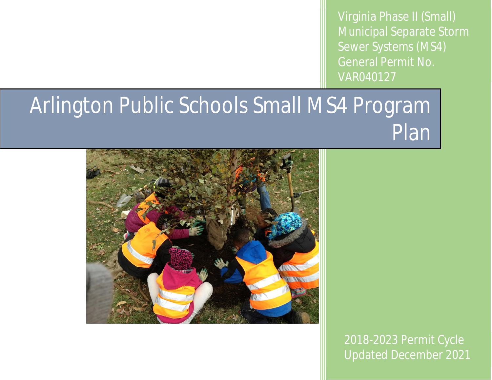Virginia Phase II (Small) Municipal Separate Storm Sewer Systems (MS4) General Permit No. VAR040127

## Arlington Public Schools Small MS4 Program Plan



2018-2023 Permit Cycle Updated December 2021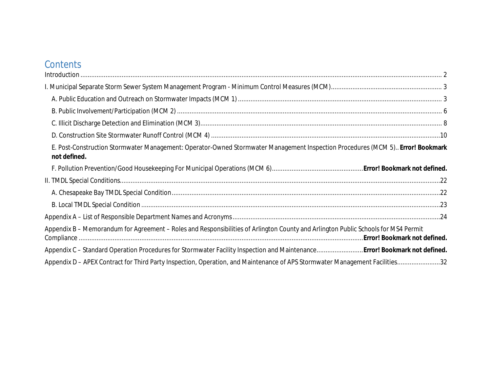## **Contents**

| $\label{eq:interoduction} \hbox{Introduction} \,\, \ldots \,\, \ldots \,\, \ldots \,\, \ldots \,\, \ldots \,\, \ldots \,\, \ldots \,\, \ldots \,\, \ldots \,\, \ldots \,\, \ldots \,\, \ldots \,\, \ldots \,\, \ldots \,\, \ldots \,\, \ldots \,\, \ldots \,\, \ldots \,\, \ldots \,\, \ldots \,\, \ldots \,\, \ldots \,\, \ldots \,\, \ldots \,\, \ldots \,\, \ldots \,\, \ldots \,\, \ldots \,\, \ldots \,\, \ldots \,\, \ldots \,\, \ldots \,\, \ldots \,\, \ldots \$ |  |
|--------------------------------------------------------------------------------------------------------------------------------------------------------------------------------------------------------------------------------------------------------------------------------------------------------------------------------------------------------------------------------------------------------------------------------------------------------------------------|--|
|                                                                                                                                                                                                                                                                                                                                                                                                                                                                          |  |
|                                                                                                                                                                                                                                                                                                                                                                                                                                                                          |  |
|                                                                                                                                                                                                                                                                                                                                                                                                                                                                          |  |
|                                                                                                                                                                                                                                                                                                                                                                                                                                                                          |  |
|                                                                                                                                                                                                                                                                                                                                                                                                                                                                          |  |
| E. Post-Construction Stormwater Management: Operator-Owned Stormwater Management Inspection Procedures (MCM 5). Error! Bookmark<br>not defined.                                                                                                                                                                                                                                                                                                                          |  |
|                                                                                                                                                                                                                                                                                                                                                                                                                                                                          |  |
|                                                                                                                                                                                                                                                                                                                                                                                                                                                                          |  |
|                                                                                                                                                                                                                                                                                                                                                                                                                                                                          |  |
|                                                                                                                                                                                                                                                                                                                                                                                                                                                                          |  |
|                                                                                                                                                                                                                                                                                                                                                                                                                                                                          |  |
| Appendix B - Memorandum for Agreement - Roles and Responsibilities of Arlington County and Arlington Public Schools for MS4 Permit                                                                                                                                                                                                                                                                                                                                       |  |
| Appendix C - Standard Operation Procedures for Stormwater Facility Inspection and Maintenance Error! Bookmark not defined.                                                                                                                                                                                                                                                                                                                                               |  |
| Appendix D - APEX Contract for Third Party Inspection, Operation, and Maintenance of APS Stormwater Management Facilities32                                                                                                                                                                                                                                                                                                                                              |  |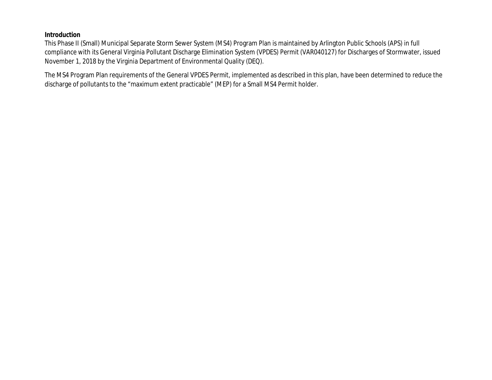**Introduction**

This Phase II (Small) Municipal Separate Storm Sewer System (MS4) Program Plan is maintained by Arlington Public Schools (APS) in full compliance with its General Virginia Pollutant Discharge Elimination System (VPDES) Permit (VAR040127) for Discharges of Stormwater, issued November 1, 2018 by the Virginia Department of Environmental Quality (DEQ).

The MS4 Program Plan requirements of the General VPDES Permit, implemented as described in this plan, have been determined to reduce the discharge of pollutants to the "maximum extent practicable" (MEP) for a Small MS4 Permit holder.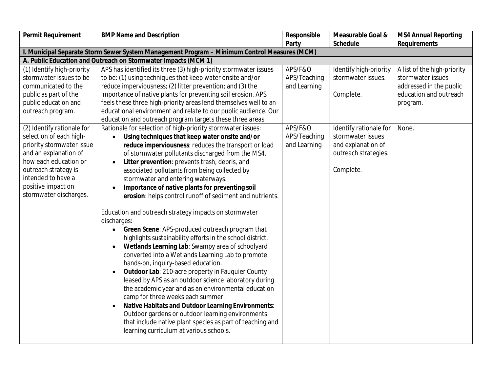| Permit Requirement         | <b>BMP Name and Description</b>                                                              | Responsible  | Measurable Goal &      | <b>MS4 Annual Reporting</b> |
|----------------------------|----------------------------------------------------------------------------------------------|--------------|------------------------|-----------------------------|
|                            |                                                                                              | Party        | Schedule               | Requirements                |
|                            | I. Municipal Separate Storm Sewer System Management Program - Minimum Control Measures (MCM) |              |                        |                             |
|                            | A. Public Education and Outreach on Stormwater Impacts (MCM 1)                               |              |                        |                             |
| (1) Identify high-priority | APS has identified its three (3) high-priority stormwater issues                             | APS/F&O      | Identify high-priority | A list of the high-priority |
| stormwater issues to be    | to be: (1) using techniques that keep water onsite and/or                                    | APS/Teaching | stormwater issues.     | stormwater issues           |
| communicated to the        | reduce imperviousness; (2) litter prevention; and (3) the                                    | and Learning |                        | addressed in the public     |
| public as part of the      | importance of native plants for preventing soil erosion. APS                                 |              | Complete.              | education and outreach      |
| public education and       | feels these three high-priority areas lend themselves well to an                             |              |                        | program.                    |
| outreach program.          | educational environment and relate to our public audience. Our                               |              |                        |                             |
|                            | education and outreach program targets these three areas.                                    |              |                        |                             |
| (2) Identify rationale for | Rationale for selection of high-priority stormwater issues:                                  | APS/F&O      | Identify rationale for | None.                       |
| selection of each high-    | Using techniques that keep water onsite and/or<br>$\bullet$                                  | APS/Teaching | stormwater issues      |                             |
| priority stormwater issue  | reduce imperviousness: reduces the transport or load                                         | and Learning | and explanation of     |                             |
| and an explanation of      | of stormwater pollutants discharged from the MS4.                                            |              | outreach strategies.   |                             |
| how each education or      | Litter prevention: prevents trash, debris, and<br>$\bullet$                                  |              |                        |                             |
| outreach strategy is       | associated pollutants from being collected by                                                |              | Complete.              |                             |
| intended to have a         | stormwater and entering waterways.                                                           |              |                        |                             |
| positive impact on         | Importance of native plants for preventing soil                                              |              |                        |                             |
| stormwater discharges.     | erosion: helps control runoff of sediment and nutrients.                                     |              |                        |                             |
|                            |                                                                                              |              |                        |                             |
|                            | Education and outreach strategy impacts on stormwater                                        |              |                        |                             |
|                            | discharges:                                                                                  |              |                        |                             |
|                            | Green Scene: APS-produced outreach program that<br>$\bullet$                                 |              |                        |                             |
|                            | highlights sustainability efforts in the school district.                                    |              |                        |                             |
|                            | Wetlands Learning Lab: Swampy area of schoolyard                                             |              |                        |                             |
|                            | converted into a Wetlands Learning Lab to promote                                            |              |                        |                             |
|                            | hands-on, inquiry-based education.                                                           |              |                        |                             |
|                            | Outdoor Lab: 210-acre property in Fauquier County<br>$\bullet$                               |              |                        |                             |
|                            | leased by APS as an outdoor science laboratory during                                        |              |                        |                             |
|                            | the academic year and as an environmental education                                          |              |                        |                             |
|                            | camp for three weeks each summer.                                                            |              |                        |                             |
|                            | Native Habitats and Outdoor Learning Environments:                                           |              |                        |                             |
|                            | Outdoor gardens or outdoor learning environments                                             |              |                        |                             |
|                            | that include native plant species as part of teaching and                                    |              |                        |                             |
|                            | learning curriculum at various schools.                                                      |              |                        |                             |
|                            |                                                                                              |              |                        |                             |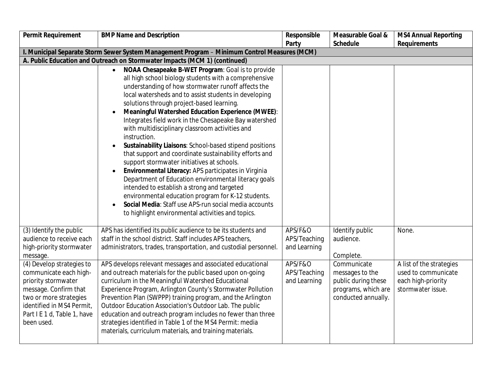| Permit Requirement                                                                                                                                                                                      | <b>BMP Name and Description</b>                                                                                                                                                                                                                                                                                                                                                                                                                                                                                                                                                                                                                                                                                                                                                                                                                                                                                                                                                                      | Responsible                             | Measurable Goal &                                                                                   | <b>MS4 Annual Reporting</b>                                                                |
|---------------------------------------------------------------------------------------------------------------------------------------------------------------------------------------------------------|------------------------------------------------------------------------------------------------------------------------------------------------------------------------------------------------------------------------------------------------------------------------------------------------------------------------------------------------------------------------------------------------------------------------------------------------------------------------------------------------------------------------------------------------------------------------------------------------------------------------------------------------------------------------------------------------------------------------------------------------------------------------------------------------------------------------------------------------------------------------------------------------------------------------------------------------------------------------------------------------------|-----------------------------------------|-----------------------------------------------------------------------------------------------------|--------------------------------------------------------------------------------------------|
|                                                                                                                                                                                                         |                                                                                                                                                                                                                                                                                                                                                                                                                                                                                                                                                                                                                                                                                                                                                                                                                                                                                                                                                                                                      | Party                                   | Schedule                                                                                            | Requirements                                                                               |
|                                                                                                                                                                                                         | I. Municipal Separate Storm Sewer System Management Program - Minimum Control Measures (MCM)                                                                                                                                                                                                                                                                                                                                                                                                                                                                                                                                                                                                                                                                                                                                                                                                                                                                                                         |                                         |                                                                                                     |                                                                                            |
|                                                                                                                                                                                                         | A. Public Education and Outreach on Stormwater Impacts (MCM 1) (continued)                                                                                                                                                                                                                                                                                                                                                                                                                                                                                                                                                                                                                                                                                                                                                                                                                                                                                                                           |                                         |                                                                                                     |                                                                                            |
|                                                                                                                                                                                                         | NOAA Chesapeake B-WET Program: Goal is to provide<br>$\bullet$<br>all high school biology students with a comprehensive<br>understanding of how stormwater runoff affects the<br>local watersheds and to assist students in developing<br>solutions through project-based learning.<br>Meaningful Watershed Education Experience (MWEE):<br>Integrates field work in the Chesapeake Bay watershed<br>with multidisciplinary classroom activities and<br>instruction.<br>Sustainability Liaisons: School-based stipend positions<br>$\bullet$<br>that support and coordinate sustainability efforts and<br>support stormwater initiatives at schools.<br>Environmental Literacy: APS participates in Virginia<br>$\bullet$<br>Department of Education environmental literacy goals<br>intended to establish a strong and targeted<br>environmental education program for K-12 students.<br>Social Media: Staff use APS-run social media accounts<br>to highlight environmental activities and topics. |                                         |                                                                                                     |                                                                                            |
| (3) Identify the public<br>audience to receive each<br>high-priority stormwater<br>message.                                                                                                             | APS has identified its public audience to be its students and<br>staff in the school district. Staff includes APS teachers,<br>administrators, trades, transportation, and custodial personnel.                                                                                                                                                                                                                                                                                                                                                                                                                                                                                                                                                                                                                                                                                                                                                                                                      | APS/F&O<br>APS/Teaching<br>and Learning | Identify public<br>audience.<br>Complete.                                                           | None.                                                                                      |
| (4) Develop strategies to<br>communicate each high-<br>priority stormwater<br>message. Confirm that<br>two or more strategies<br>identified in MS4 Permit,<br>Part I E 1 d, Table 1, have<br>been used. | APS develops relevant messages and associated educational<br>and outreach materials for the public based upon on-going<br>curriculum in the Meaningful Watershed Educational<br>Experience Program, Arlington County's Stormwater Pollution<br>Prevention Plan (SWPPP) training program, and the Arlington<br>Outdoor Education Association's Outdoor Lab. The public<br>education and outreach program includes no fewer than three<br>strategies identified in Table 1 of the MS4 Permit: media<br>materials, curriculum materials, and training materials.                                                                                                                                                                                                                                                                                                                                                                                                                                        | APS/F&O<br>APS/Teaching<br>and Learning | Communicate<br>messages to the<br>public during these<br>programs, which are<br>conducted annually. | A list of the strategies<br>used to communicate<br>each high-priority<br>stormwater issue. |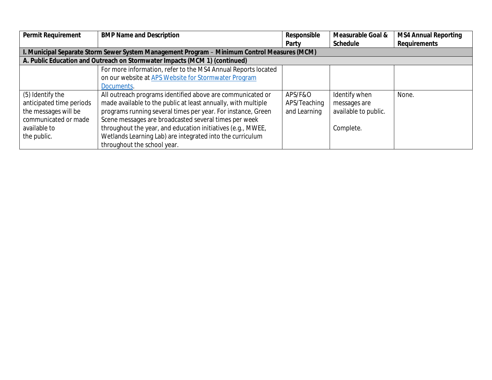| Permit Requirement       | <b>BMP Name and Description</b>                                                              | Responsible  | Measurable Goal &    | MS4 Annual Reporting |  |
|--------------------------|----------------------------------------------------------------------------------------------|--------------|----------------------|----------------------|--|
|                          |                                                                                              | Party        | Schedule             | Requirements         |  |
|                          | I. Municipal Separate Storm Sewer System Management Program - Minimum Control Measures (MCM) |              |                      |                      |  |
|                          | A. Public Education and Outreach on Stormwater Impacts (MCM 1) (continued)                   |              |                      |                      |  |
|                          | For more information, refer to the MS4 Annual Reports located                                |              |                      |                      |  |
|                          | on our website at APS Website for Stormwater Program                                         |              |                      |                      |  |
|                          | Documents.                                                                                   |              |                      |                      |  |
| (5) Identify the         | All outreach programs identified above are communicated or                                   | APS/F&O      | Identify when        | None.                |  |
| anticipated time periods | made available to the public at least annually, with multiple                                | APS/Teaching | messages are         |                      |  |
| the messages will be     | programs running several times per year. For instance, Green                                 | and Learning | available to public. |                      |  |
| communicated or made     | Scene messages are broadcasted several times per week                                        |              |                      |                      |  |
| available to             | throughout the year, and education initiatives (e.g., MWEE,                                  |              | Complete.            |                      |  |
| the public.              | Wetlands Learning Lab) are integrated into the curriculum                                    |              |                      |                      |  |
|                          | throughout the school year.                                                                  |              |                      |                      |  |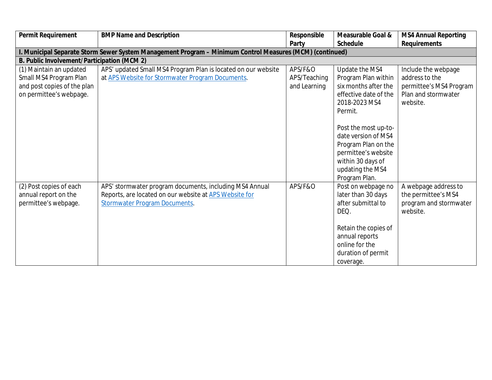| Permit Requirement                                                                                          | <b>BMP Name and Description</b>                                                                                                                           | Responsible                             | Measurable Goal &                                                                                                                                                                                               | <b>MS4 Annual Reporting</b>                                                                         |
|-------------------------------------------------------------------------------------------------------------|-----------------------------------------------------------------------------------------------------------------------------------------------------------|-----------------------------------------|-----------------------------------------------------------------------------------------------------------------------------------------------------------------------------------------------------------------|-----------------------------------------------------------------------------------------------------|
|                                                                                                             |                                                                                                                                                           | Party                                   | Schedule                                                                                                                                                                                                        | Requirements                                                                                        |
|                                                                                                             | I. Municipal Separate Storm Sewer System Management Program - Minimum Control Measures (MCM) (continued)                                                  |                                         |                                                                                                                                                                                                                 |                                                                                                     |
| B. Public Involvement/Participation (MCM 2)                                                                 |                                                                                                                                                           |                                         |                                                                                                                                                                                                                 |                                                                                                     |
| (1) Maintain an updated<br>Small MS4 Program Plan<br>and post copies of the plan<br>on permittee's webpage. | APS' updated Small MS4 Program Plan is located on our website<br>at APS Website for Stormwater Program Documents.                                         | APS/F&O<br>APS/Teaching<br>and Learning | Update the MS4<br>Program Plan within<br>six months after the<br>effective date of the<br>2018-2023 MS4<br>Permit.<br>Post the most up-to-<br>date version of MS4<br>Program Plan on the<br>permittee's website | Include the webpage<br>address to the<br>permittee's MS4 Program<br>Plan and stormwater<br>website. |
|                                                                                                             |                                                                                                                                                           |                                         | within 30 days of<br>updating the MS4<br>Program Plan.                                                                                                                                                          |                                                                                                     |
| (2) Post copies of each<br>annual report on the<br>permittee's webpage.                                     | APS' stormwater program documents, including MS4 Annual<br>Reports, are located on our website at APS Website for<br><b>Stormwater Program Documents.</b> | APS/F&O                                 | Post on webpage no<br>later than 30 days<br>after submittal to<br>DEQ.<br>Retain the copies of<br>annual reports<br>online for the<br>duration of permit<br>coverage.                                           | A webpage address to<br>the permittee's MS4<br>program and stormwater<br>website.                   |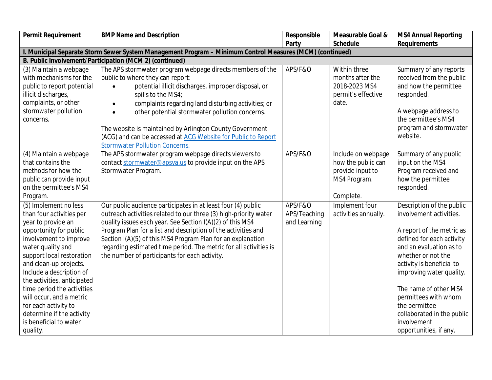| Permit Requirement                                                                                                                                                                                                                                                                                                                                                                                                      | <b>BMP Name and Description</b>                                                                                                                                                                                                                                                                                                                                                                                                                                                                  | Responsible                                        | Measurable Goal &                                                                         | <b>MS4 Annual Reporting</b>                                                                                                                                                                                                                                                                                                                                       |
|-------------------------------------------------------------------------------------------------------------------------------------------------------------------------------------------------------------------------------------------------------------------------------------------------------------------------------------------------------------------------------------------------------------------------|--------------------------------------------------------------------------------------------------------------------------------------------------------------------------------------------------------------------------------------------------------------------------------------------------------------------------------------------------------------------------------------------------------------------------------------------------------------------------------------------------|----------------------------------------------------|-------------------------------------------------------------------------------------------|-------------------------------------------------------------------------------------------------------------------------------------------------------------------------------------------------------------------------------------------------------------------------------------------------------------------------------------------------------------------|
|                                                                                                                                                                                                                                                                                                                                                                                                                         |                                                                                                                                                                                                                                                                                                                                                                                                                                                                                                  | Party                                              | Schedule                                                                                  | Requirements                                                                                                                                                                                                                                                                                                                                                      |
|                                                                                                                                                                                                                                                                                                                                                                                                                         | I. Municipal Separate Storm Sewer System Management Program - Minimum Control Measures (MCM) (continued)                                                                                                                                                                                                                                                                                                                                                                                         |                                                    |                                                                                           |                                                                                                                                                                                                                                                                                                                                                                   |
|                                                                                                                                                                                                                                                                                                                                                                                                                         | B. Public Involvement/Participation (MCM 2) (continued)                                                                                                                                                                                                                                                                                                                                                                                                                                          |                                                    |                                                                                           |                                                                                                                                                                                                                                                                                                                                                                   |
| (3) Maintain a webpage<br>with mechanisms for the<br>public to report potential<br>illicit discharges,<br>complaints, or other<br>stormwater pollution<br>concerns.                                                                                                                                                                                                                                                     | The APS stormwater program webpage directs members of the<br>public to where they can report:<br>potential illicit discharges, improper disposal, or<br>$\bullet$<br>spills to the MS4;<br>complaints regarding land disturbing activities; or<br>$\bullet$<br>other potential stormwater pollution concerns.<br>$\bullet$<br>The website is maintained by Arlington County Government<br>(ACG) and can be accessed at ACG Website for Public to Report<br><b>Stormwater Pollution Concerns.</b> | APS/F&O                                            | Within three<br>months after the<br>2018-2023 MS4<br>permit's effective<br>date.          | Summary of any reports<br>received from the public<br>and how the permittee<br>responded.<br>A webpage address to<br>the permittee's MS4<br>program and stormwater<br>website.                                                                                                                                                                                    |
| (4) Maintain a webpage<br>that contains the<br>methods for how the<br>public can provide input<br>on the permittee's MS4<br>Program.                                                                                                                                                                                                                                                                                    | The APS stormwater program webpage directs viewers to<br>contact stormwater@apsva.us to provide input on the APS<br>Stormwater Program.                                                                                                                                                                                                                                                                                                                                                          | APS/F&O                                            | Include on webpage<br>how the public can<br>provide input to<br>MS4 Program.<br>Complete. | Summary of any public<br>input on the MS4<br>Program received and<br>how the permittee<br>responded.                                                                                                                                                                                                                                                              |
| (5) Implement no less<br>than four activities per<br>year to provide an<br>opportunity for public<br>involvement to improve<br>water quality and<br>support local restoration<br>and clean-up projects.<br>Include a description of<br>the activities, anticipated<br>time period the activities<br>will occur, and a metric<br>for each activity to<br>determine if the activity<br>is beneficial to water<br>quality. | Our public audience participates in at least four (4) public<br>outreach activities related to our three (3) high-priority water<br>quality issues each year. See Section I(A)(2) of this MS4<br>Program Plan for a list and description of the activities and<br>Section I(A)(5) of this MS4 Program Plan for an explanation<br>regarding estimated time period. The metric for all activities is<br>the number of participants for each activity.                                              | <b>APS/F&amp;O</b><br>APS/Teaching<br>and Learning | Implement four<br>activities annually.                                                    | Description of the public<br>involvement activities.<br>A report of the metric as<br>defined for each activity<br>and an evaluation as to<br>whether or not the<br>activity is beneficial to<br>improving water quality.<br>The name of other MS4<br>permittees with whom<br>the permittee<br>collaborated in the public<br>involvement<br>opportunities, if any. |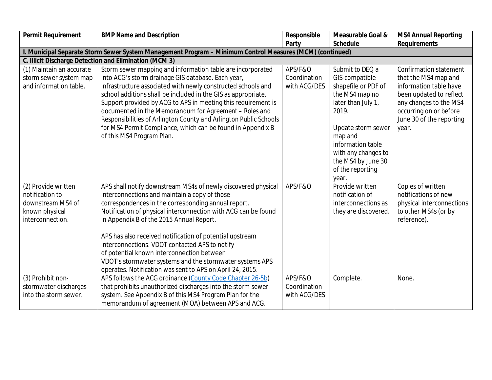| Permit Requirement       | <b>BMP Name and Description</b>                                                                          | Responsible  | Measurable Goal &                      | <b>MS4 Annual Reporting</b>   |
|--------------------------|----------------------------------------------------------------------------------------------------------|--------------|----------------------------------------|-------------------------------|
|                          |                                                                                                          | Party        | Schedule                               | Requirements                  |
|                          | I. Municipal Separate Storm Sewer System Management Program - Minimum Control Measures (MCM) (continued) |              |                                        |                               |
|                          | C. Illicit Discharge Detection and Elimination (MCM 3)                                                   |              |                                        |                               |
| (1) Maintain an accurate | Storm sewer mapping and information table are incorporated                                               | APS/F&O      | Submit to DEQ a                        | <b>Confirmation statement</b> |
| storm sewer system map   | into ACG's storm drainage GIS database. Each year,                                                       | Coordination | GIS-compatible                         | that the MS4 map and          |
| and information table.   | infrastructure associated with newly constructed schools and                                             | with ACG/DES | shapefile or PDF of                    | information table have        |
|                          | school additions shall be included in the GIS as appropriate.                                            |              | the MS4 map no                         | been updated to reflect       |
|                          | Support provided by ACG to APS in meeting this requirement is                                            |              | later than July 1,                     | any changes to the MS4        |
|                          | documented in the Memorandum for Agreement - Roles and                                                   |              | 2019.                                  | occurring on or before        |
|                          | Responsibilities of Arlington County and Arlington Public Schools                                        |              |                                        | June 30 of the reporting      |
|                          | for MS4 Permit Compliance, which can be found in Appendix B                                              |              | Update storm sewer                     | year.                         |
|                          | of this MS4 Program Plan.                                                                                |              | map and                                |                               |
|                          |                                                                                                          |              | information table                      |                               |
|                          |                                                                                                          |              | with any changes to                    |                               |
|                          |                                                                                                          |              | the MS4 by June 30<br>of the reporting |                               |
|                          |                                                                                                          |              | year.                                  |                               |
| (2) Provide written      | APS shall notify downstream MS4s of newly discovered physical                                            | APS/F&O      | Provide written                        | Copies of written             |
| notification to          | interconnections and maintain a copy of those                                                            |              | notification of                        | notifications of new          |
| downstream MS4 of        | correspondences in the corresponding annual report.                                                      |              | interconnections as                    | physical interconnections     |
| known physical           | Notification of physical interconnection with ACG can be found                                           |              | they are discovered.                   | to other MS4s (or by          |
| interconnection.         | in Appendix B of the 2015 Annual Report.                                                                 |              |                                        | reference).                   |
|                          |                                                                                                          |              |                                        |                               |
|                          | APS has also received notification of potential upstream                                                 |              |                                        |                               |
|                          | interconnections. VDOT contacted APS to notify                                                           |              |                                        |                               |
|                          | of potential known interconnection between                                                               |              |                                        |                               |
|                          | VDOT's stormwater systems and the stormwater systems APS                                                 |              |                                        |                               |
|                          | operates. Notification was sent to APS on April 24, 2015.                                                |              |                                        |                               |
| (3) Prohibit non-        | APS follows the ACG ordinance (County Code Chapter 26-5b)                                                | APS/F&O      | Complete.                              | None.                         |
| stormwater discharges    | that prohibits unauthorized discharges into the storm sewer                                              | Coordination |                                        |                               |
| into the storm sewer.    | system. See Appendix B of this MS4 Program Plan for the                                                  | with ACG/DES |                                        |                               |
|                          | memorandum of agreement (MOA) between APS and ACG.                                                       |              |                                        |                               |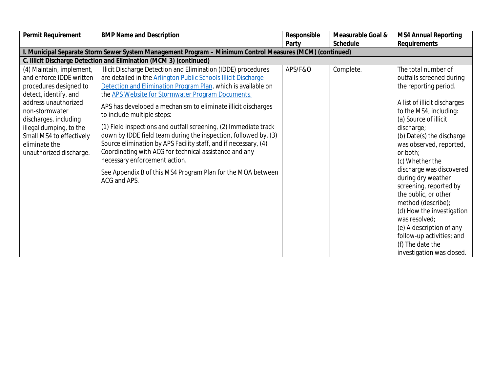| Permit Requirement                                                                                                                                                                                                                                                            | <b>BMP Name and Description</b>                                                                                                                                                                                                                                                                                                                                                                                                                                                                                                                                                                                                                                                                                                          | Responsible | Measurable Goal & | <b>MS4 Annual Reporting</b>                                                                                                                                                                                                                                                                                                                                                                                                                                                                                                                        |
|-------------------------------------------------------------------------------------------------------------------------------------------------------------------------------------------------------------------------------------------------------------------------------|------------------------------------------------------------------------------------------------------------------------------------------------------------------------------------------------------------------------------------------------------------------------------------------------------------------------------------------------------------------------------------------------------------------------------------------------------------------------------------------------------------------------------------------------------------------------------------------------------------------------------------------------------------------------------------------------------------------------------------------|-------------|-------------------|----------------------------------------------------------------------------------------------------------------------------------------------------------------------------------------------------------------------------------------------------------------------------------------------------------------------------------------------------------------------------------------------------------------------------------------------------------------------------------------------------------------------------------------------------|
|                                                                                                                                                                                                                                                                               |                                                                                                                                                                                                                                                                                                                                                                                                                                                                                                                                                                                                                                                                                                                                          | Party       | Schedule          | Requirements                                                                                                                                                                                                                                                                                                                                                                                                                                                                                                                                       |
|                                                                                                                                                                                                                                                                               | I. Municipal Separate Storm Sewer System Management Program - Minimum Control Measures (MCM) (continued)                                                                                                                                                                                                                                                                                                                                                                                                                                                                                                                                                                                                                                 |             |                   |                                                                                                                                                                                                                                                                                                                                                                                                                                                                                                                                                    |
|                                                                                                                                                                                                                                                                               | C. Illicit Discharge Detection and Elimination (MCM 3) (continued)                                                                                                                                                                                                                                                                                                                                                                                                                                                                                                                                                                                                                                                                       |             |                   |                                                                                                                                                                                                                                                                                                                                                                                                                                                                                                                                                    |
| (4) Maintain, implement,<br>and enforce IDDE written<br>procedures designed to<br>detect, identify, and<br>address unauthorized<br>non-stormwater<br>discharges, including<br>illegal dumping, to the<br>Small MS4 to effectively<br>eliminate the<br>unauthorized discharge. | Illicit Discharge Detection and Elimination (IDDE) procedures<br>are detailed in the Arlington Public Schools Illicit Discharge<br>Detection and Elimination Program Plan, which is available on<br>the APS Website for Stormwater Program Documents.<br>APS has developed a mechanism to eliminate illicit discharges<br>to include multiple steps:<br>(1) Field inspections and outfall screening, (2) Immediate track<br>down by IDDE field team during the inspection, followed by, (3)<br>Source elimination by APS Facility staff, and if necessary, (4)<br>Coordinating with ACG for technical assistance and any<br>necessary enforcement action.<br>See Appendix B of this MS4 Program Plan for the MOA between<br>ACG and APS. | APS/F&O     | Complete.         | The total number of<br>outfalls screened during<br>the reporting period.<br>A list of illicit discharges<br>to the MS4, including:<br>(a) Source of illicit<br>discharge;<br>(b) Date(s) the discharge<br>was observed, reported,<br>or both:<br>(c) Whether the<br>discharge was discovered<br>during dry weather<br>screening, reported by<br>the public, or other<br>method (describe);<br>(d) How the investigation<br>was resolved;<br>(e) A description of any<br>follow-up activities; and<br>(f) The date the<br>investigation was closed. |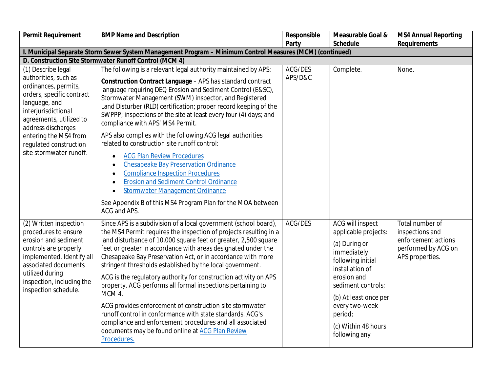| Permit Requirement                                                                                                                                                                                                                                                     | <b>BMP Name and Description</b>                                                                                                                                                                                                                                                                                                                                                                                                                                                                                                                                                                                                                                                                                                                                                                                                                                                                                    | Responsible        | Measurable Goal &                                                                                                                                                                                                                                          | <b>MS4 Annual Reporting</b>                                                                         |
|------------------------------------------------------------------------------------------------------------------------------------------------------------------------------------------------------------------------------------------------------------------------|--------------------------------------------------------------------------------------------------------------------------------------------------------------------------------------------------------------------------------------------------------------------------------------------------------------------------------------------------------------------------------------------------------------------------------------------------------------------------------------------------------------------------------------------------------------------------------------------------------------------------------------------------------------------------------------------------------------------------------------------------------------------------------------------------------------------------------------------------------------------------------------------------------------------|--------------------|------------------------------------------------------------------------------------------------------------------------------------------------------------------------------------------------------------------------------------------------------------|-----------------------------------------------------------------------------------------------------|
|                                                                                                                                                                                                                                                                        |                                                                                                                                                                                                                                                                                                                                                                                                                                                                                                                                                                                                                                                                                                                                                                                                                                                                                                                    | Party              | Schedule                                                                                                                                                                                                                                                   | Requirements                                                                                        |
|                                                                                                                                                                                                                                                                        | I. Municipal Separate Storm Sewer System Management Program - Minimum Control Measures (MCM) (continued)                                                                                                                                                                                                                                                                                                                                                                                                                                                                                                                                                                                                                                                                                                                                                                                                           |                    |                                                                                                                                                                                                                                                            |                                                                                                     |
|                                                                                                                                                                                                                                                                        | D. Construction Site Stormwater Runoff Control (MCM 4)                                                                                                                                                                                                                                                                                                                                                                                                                                                                                                                                                                                                                                                                                                                                                                                                                                                             |                    |                                                                                                                                                                                                                                                            |                                                                                                     |
| (1) Describe legal<br>authorities, such as<br>ordinances, permits,<br>orders, specific contract<br>language, and<br>interjurisdictional<br>agreements, utilized to<br>address discharges<br>entering the MS4 from<br>regulated construction<br>site stormwater runoff. | The following is a relevant legal authority maintained by APS:<br>Construction Contract Language - APS has standard contract<br>language requiring DEQ Erosion and Sediment Control (E&SC),<br>Stormwater Management (SWM) inspector, and Registered<br>Land Disturber (RLD) certification; proper record keeping of the<br>SWPPP; inspections of the site at least every four (4) days; and<br>compliance with APS' MS4 Permit.<br>APS also complies with the following ACG legal authorities<br>related to construction site runoff control:<br><b>ACG Plan Review Procedures</b><br>$\bullet$<br>Chesapeake Bay Preservation Ordinance<br>$\bullet$<br><b>Compliance Inspection Procedures</b><br>$\bullet$<br><b>Erosion and Sediment Control Ordinance</b><br>$\bullet$<br><b>Stormwater Management Ordinance</b><br>$\bullet$<br>See Appendix B of this MS4 Program Plan for the MOA between<br>ACG and APS. | ACG/DES<br>APS/D&C | Complete.                                                                                                                                                                                                                                                  | None.                                                                                               |
| (2) Written inspection<br>procedures to ensure<br>erosion and sediment<br>controls are properly<br>implemented. Identify all<br>associated documents<br>utilized during<br>inspection, including the<br>inspection schedule.                                           | Since APS is a subdivision of a local government (school board),<br>the MS4 Permit requires the inspection of projects resulting in a<br>land disturbance of 10,000 square feet or greater, 2,500 square<br>feet or greater in accordance with areas designated under the<br>Chesapeake Bay Preservation Act, or in accordance with more<br>stringent thresholds established by the local government.<br>ACG is the regulatory authority for construction activity on APS<br>property. ACG performs all formal inspections pertaining to<br>MCM 4.<br>ACG provides enforcement of construction site stormwater<br>runoff control in conformance with state standards. ACG's<br>compliance and enforcement procedures and all associated<br>documents may be found online at ACG Plan Review<br>Procedures.                                                                                                         | ACG/DES            | <b>ACG will inspect</b><br>applicable projects:<br>(a) During or<br>immediately<br>following initial<br>installation of<br>erosion and<br>sediment controls;<br>(b) At least once per<br>every two-week<br>period;<br>(c) Within 48 hours<br>following any | Total number of<br>inspections and<br>enforcement actions<br>performed by ACG on<br>APS properties. |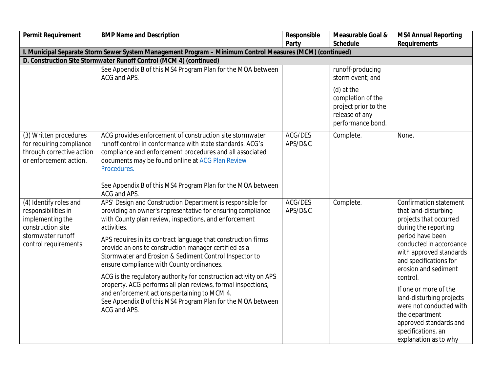| Permit Requirement                                                                                                                   | <b>BMP Name and Description</b>                                                                                                                                                                                                                                                                                                                                                                                                                                                                                                                                                                                                                                                                       | Responsible        | Measurable Goal &                                                                              | <b>MS4 Annual Reporting</b>                                                                                                                                                                                                                                                                                                                                                                                         |
|--------------------------------------------------------------------------------------------------------------------------------------|-------------------------------------------------------------------------------------------------------------------------------------------------------------------------------------------------------------------------------------------------------------------------------------------------------------------------------------------------------------------------------------------------------------------------------------------------------------------------------------------------------------------------------------------------------------------------------------------------------------------------------------------------------------------------------------------------------|--------------------|------------------------------------------------------------------------------------------------|---------------------------------------------------------------------------------------------------------------------------------------------------------------------------------------------------------------------------------------------------------------------------------------------------------------------------------------------------------------------------------------------------------------------|
|                                                                                                                                      |                                                                                                                                                                                                                                                                                                                                                                                                                                                                                                                                                                                                                                                                                                       | Party              | Schedule                                                                                       | Requirements                                                                                                                                                                                                                                                                                                                                                                                                        |
|                                                                                                                                      | I. Municipal Separate Storm Sewer System Management Program - Minimum Control Measures (MCM) (continued)                                                                                                                                                                                                                                                                                                                                                                                                                                                                                                                                                                                              |                    |                                                                                                |                                                                                                                                                                                                                                                                                                                                                                                                                     |
|                                                                                                                                      | D. Construction Site Stormwater Runoff Control (MCM 4) (continued)                                                                                                                                                                                                                                                                                                                                                                                                                                                                                                                                                                                                                                    |                    |                                                                                                |                                                                                                                                                                                                                                                                                                                                                                                                                     |
|                                                                                                                                      | See Appendix B of this MS4 Program Plan for the MOA between<br>ACG and APS.                                                                                                                                                                                                                                                                                                                                                                                                                                                                                                                                                                                                                           |                    | runoff-producing<br>storm event; and                                                           |                                                                                                                                                                                                                                                                                                                                                                                                                     |
|                                                                                                                                      |                                                                                                                                                                                                                                                                                                                                                                                                                                                                                                                                                                                                                                                                                                       |                    | (d) at the<br>completion of the<br>project prior to the<br>release of any<br>performance bond. |                                                                                                                                                                                                                                                                                                                                                                                                                     |
| (3) Written procedures<br>for requiring compliance<br>through corrective action<br>or enforcement action.                            | ACG provides enforcement of construction site stormwater<br>runoff control in conformance with state standards. ACG's<br>compliance and enforcement procedures and all associated<br>documents may be found online at ACG Plan Review<br>Procedures.<br>See Appendix B of this MS4 Program Plan for the MOA between<br>ACG and APS.                                                                                                                                                                                                                                                                                                                                                                   | ACG/DES<br>APS/D&C | Complete.                                                                                      | None.                                                                                                                                                                                                                                                                                                                                                                                                               |
| (4) Identify roles and<br>responsibilities in<br>implementing the<br>construction site<br>stormwater runoff<br>control requirements. | APS' Design and Construction Department is responsible for<br>providing an owner's representative for ensuring compliance<br>with County plan review, inspections, and enforcement<br>activities.<br>APS requires in its contract language that construction firms<br>provide an onsite construction manager certified as a<br>Stormwater and Erosion & Sediment Control Inspector to<br>ensure compliance with County ordinances.<br>ACG is the regulatory authority for construction activity on APS<br>property. ACG performs all plan reviews, formal inspections,<br>and enforcement actions pertaining to MCM 4.<br>See Appendix B of this MS4 Program Plan for the MOA between<br>ACG and APS. | ACG/DES<br>APS/D&C | Complete.                                                                                      | Confirmation statement<br>that land-disturbing<br>projects that occurred<br>during the reporting<br>period have been<br>conducted in accordance<br>with approved standards<br>and specifications for<br>erosion and sediment<br>control.<br>If one or more of the<br>land-disturbing projects<br>were not conducted with<br>the department<br>approved standards and<br>specifications, an<br>explanation as to why |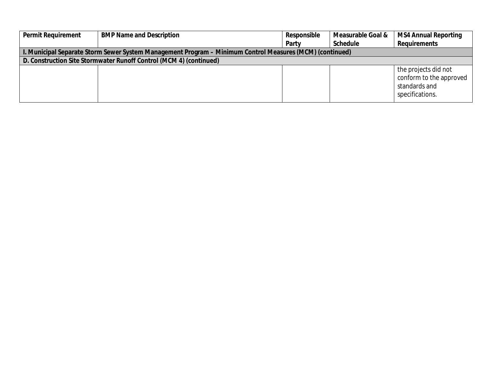| Permit Requirement | <b>BMP Name and Description</b>                                                                          | Responsible | Measurable Goal & | <b>MS4 Annual Reporting</b>                                                         |
|--------------------|----------------------------------------------------------------------------------------------------------|-------------|-------------------|-------------------------------------------------------------------------------------|
|                    |                                                                                                          | Party       | Schedule          | Requirements                                                                        |
|                    | I. Municipal Separate Storm Sewer System Management Program – Minimum Control Measures (MCM) (continued) |             |                   |                                                                                     |
|                    | D. Construction Site Stormwater Runoff Control (MCM 4) (continued)                                       |             |                   |                                                                                     |
|                    |                                                                                                          |             |                   | the projects did not<br>conform to the approved<br>standards and<br>specifications. |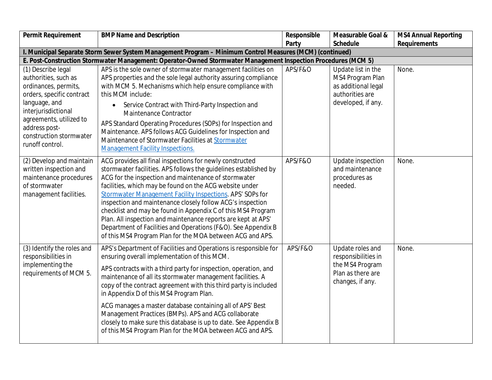| Permit Requirement                                                                                                                                                                                                                | <b>BMP Name and Description</b>                                                                                                                                                                                                                                                                                                                                                                                                                                                                                                                                                                                                           | Responsible | Measurable Goal &                                                                                      | <b>MS4 Annual Reporting</b> |
|-----------------------------------------------------------------------------------------------------------------------------------------------------------------------------------------------------------------------------------|-------------------------------------------------------------------------------------------------------------------------------------------------------------------------------------------------------------------------------------------------------------------------------------------------------------------------------------------------------------------------------------------------------------------------------------------------------------------------------------------------------------------------------------------------------------------------------------------------------------------------------------------|-------------|--------------------------------------------------------------------------------------------------------|-----------------------------|
|                                                                                                                                                                                                                                   |                                                                                                                                                                                                                                                                                                                                                                                                                                                                                                                                                                                                                                           | Party       | Schedule                                                                                               | Requirements                |
|                                                                                                                                                                                                                                   | I. Municipal Separate Storm Sewer System Management Program - Minimum Control Measures (MCM) (continued)                                                                                                                                                                                                                                                                                                                                                                                                                                                                                                                                  |             |                                                                                                        |                             |
|                                                                                                                                                                                                                                   | E. Post-Construction Stormwater Management: Operator-Owned Stormwater Management Inspection Procedures (MCM 5)                                                                                                                                                                                                                                                                                                                                                                                                                                                                                                                            |             |                                                                                                        |                             |
| (1) Describe legal<br>authorities, such as<br>ordinances, permits,<br>orders, specific contract<br>language, and<br>interjurisdictional<br>agreements, utilized to<br>address post-<br>construction stormwater<br>runoff control. | APS is the sole owner of stormwater management facilities on<br>APS properties and the sole legal authority assuring compliance<br>with MCM 5. Mechanisms which help ensure compliance with<br>this MCM include:<br>Service Contract with Third-Party Inspection and<br>$\bullet$<br><b>Maintenance Contractor</b><br>APS Standard Operating Procedures (SOPs) for Inspection and<br>Maintenance. APS follows ACG Guidelines for Inspection and<br>Maintenance of Stormwater Facilities at Stormwater<br><b>Management Facility Inspections.</b>                                                                                          | APS/F&O     | Update list in the<br>MS4 Program Plan<br>as additional legal<br>authorities are<br>developed, if any. | None.                       |
| (2) Develop and maintain<br>written inspection and<br>maintenance procedures<br>of stormwater<br>management facilities.                                                                                                           | ACG provides all final inspections for newly constructed<br>stormwater facilities. APS follows the guidelines established by<br>ACG for the inspection and maintenance of stormwater<br>facilities, which may be found on the ACG website under<br>Stormwater Management Facility Inspections. APS' SOPs for<br>inspection and maintenance closely follow ACG's inspection<br>checklist and may be found in Appendix C of this MS4 Program<br>Plan. All inspection and maintenance reports are kept at APS'<br>Department of Facilities and Operations (F&O). See Appendix B<br>of this MS4 Program Plan for the MOA between ACG and APS. | APS/F&O     | Update inspection<br>and maintenance<br>procedures as<br>needed.                                       | None.                       |
| (3) Identify the roles and<br>responsibilities in<br>implementing the<br>requirements of MCM 5.                                                                                                                                   | APS's Department of Facilities and Operations is responsible for<br>ensuring overall implementation of this MCM.<br>APS contracts with a third party for inspection, operation, and<br>maintenance of all its stormwater management facilities. A<br>copy of the contract agreement with this third party is included<br>in Appendix D of this MS4 Program Plan.<br>ACG manages a master database containing all of APS' Best<br>Management Practices (BMPs). APS and ACG collaborate<br>closely to make sure this database is up to date. See Appendix B<br>of this MS4 Program Plan for the MOA between ACG and APS.                    | APS/F&O     | Update roles and<br>responsibilities in<br>the MS4 Program<br>Plan as there are<br>changes, if any.    | None.                       |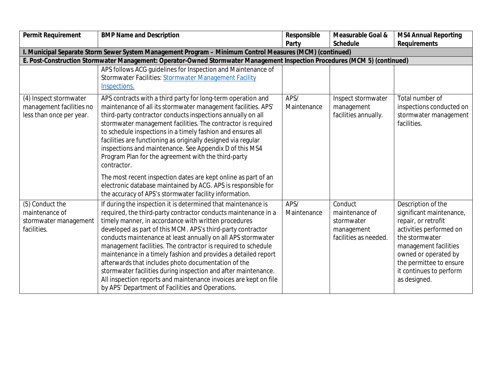| Permit Requirement                                 | <b>BMP Name and Description</b>                                                                                                                                                                                                        | Responsible         | Measurable Goal &                   | <b>MS4 Annual Reporting</b>                    |
|----------------------------------------------------|----------------------------------------------------------------------------------------------------------------------------------------------------------------------------------------------------------------------------------------|---------------------|-------------------------------------|------------------------------------------------|
|                                                    |                                                                                                                                                                                                                                        | Party               | Schedule                            | Requirements                                   |
|                                                    | I. Municipal Separate Storm Sewer System Management Program - Minimum Control Measures (MCM) (continued)<br>E. Post-Construction Stormwater Management: Operator-Owned Stormwater Management Inspection Procedures (MCM 5) (continued) |                     |                                     |                                                |
|                                                    | APS follows ACG guidelines for Inspection and Maintenance of                                                                                                                                                                           |                     |                                     |                                                |
|                                                    | Stormwater Facilities: Stormwater Management Facility                                                                                                                                                                                  |                     |                                     |                                                |
|                                                    | Inspections.                                                                                                                                                                                                                           |                     |                                     |                                                |
|                                                    |                                                                                                                                                                                                                                        |                     |                                     |                                                |
| (4) Inspect stormwater<br>management facilities no | APS contracts with a third party for long-term operation and<br>maintenance of all its stormwater management facilities. APS'                                                                                                          | APS/<br>Maintenance | Inspect stormwater<br>management    | Total number of<br>inspections conducted on    |
| less than once per year.                           | third-party contractor conducts inspections annually on all                                                                                                                                                                            |                     | facilities annually.                | stormwater management                          |
|                                                    | stormwater management facilities. The contractor is required                                                                                                                                                                           |                     |                                     | facilities.                                    |
|                                                    | to schedule inspections in a timely fashion and ensures all                                                                                                                                                                            |                     |                                     |                                                |
|                                                    | facilities are functioning as originally designed via regular                                                                                                                                                                          |                     |                                     |                                                |
|                                                    | inspections and maintenance. See Appendix D of this MS4                                                                                                                                                                                |                     |                                     |                                                |
|                                                    | Program Plan for the agreement with the third-party                                                                                                                                                                                    |                     |                                     |                                                |
|                                                    | contractor.                                                                                                                                                                                                                            |                     |                                     |                                                |
|                                                    | The most recent inspection dates are kept online as part of an                                                                                                                                                                         |                     |                                     |                                                |
|                                                    | electronic database maintained by ACG. APS is responsible for                                                                                                                                                                          |                     |                                     |                                                |
|                                                    | the accuracy of APS's stormwater facility information.                                                                                                                                                                                 |                     |                                     |                                                |
| (5) Conduct the                                    | If during the inspection it is determined that maintenance is                                                                                                                                                                          | APS/                | Conduct                             | Description of the                             |
| maintenance of                                     | required, the third-party contractor conducts maintenance in a                                                                                                                                                                         | Maintenance         | maintenance of                      | significant maintenance,                       |
| stormwater management<br>facilities.               | timely manner, in accordance with written procedures                                                                                                                                                                                   |                     | stormwater                          | repair, or retrofit<br>activities performed on |
|                                                    | developed as part of this MCM. APS's third-party contractor<br>conducts maintenance at least annually on all APS stormwater                                                                                                            |                     | management<br>facilities as needed. | the stormwater                                 |
|                                                    | management facilities. The contractor is required to schedule                                                                                                                                                                          |                     |                                     | management facilities                          |
|                                                    | maintenance in a timely fashion and provides a detailed report                                                                                                                                                                         |                     |                                     | owned or operated by                           |
|                                                    | afterwards that includes photo documentation of the                                                                                                                                                                                    |                     |                                     | the permittee to ensure                        |
|                                                    | stormwater facilities during inspection and after maintenance.                                                                                                                                                                         |                     |                                     | it continues to perform                        |
|                                                    | All inspection reports and maintenance invoices are kept on file                                                                                                                                                                       |                     |                                     | as designed.                                   |
|                                                    | by APS' Department of Facilities and Operations.                                                                                                                                                                                       |                     |                                     |                                                |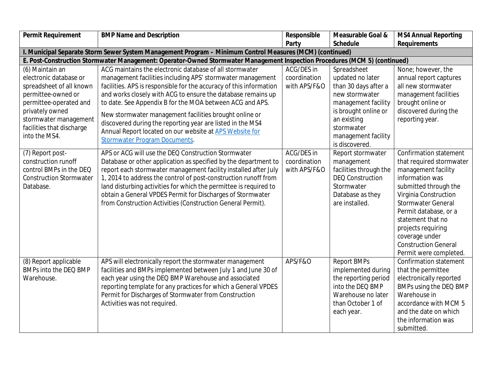| Party<br>Schedule<br>Requirements<br>I. Municipal Separate Storm Sewer System Management Program - Minimum Control Measures (MCM) (continued)<br>E. Post-Construction Stormwater Management: Operator-Owned Stormwater Management Inspection Procedures (MCM 5) (continued)<br>ACG maintains the electronic database of all stormwater<br>ACG/DES in<br>None; however, the<br>(6) Maintain an<br>Spreadsheet<br>electronic database or<br>management facilities including APS' stormwater management<br>coordination<br>updated no later<br>annual report captures<br>spreadsheet of all known<br>facilities. APS is responsible for the accuracy of this information<br>with APS/F&O<br>than 30 days after a<br>all new stormwater<br>and works closely with ACG to ensure the database remains up<br>permittee-owned or<br>new stormwater<br>management facilities<br>permittee-operated and<br>to date. See Appendix B for the MOA between ACG and APS.<br>brought online or<br>management facility<br>privately owned<br>is brought online or<br>discovered during the<br>New stormwater management facilities brought online or<br>stormwater management<br>an existing<br>reporting year.<br>discovered during the reporting year are listed in the MS4<br>facilities that discharge<br>stormwater<br>Annual Report located on our website at APS Website for<br>into the MS4.<br>management facility<br><b>Stormwater Program Documents.</b><br>is discovered.<br>APS or ACG will use the DEQ Construction Stormwater<br>ACG/DES in<br>Confirmation statement<br>(7) Report post-<br>Report stormwater<br>construction runoff<br>Database or other application as specified by the department to<br>coordination<br>management<br>that required stormwater<br>facilities through the<br>control BMPs in the DEQ<br>report each stormwater management facility installed after July<br>with APS/F&O<br>management facility<br><b>DEQ Construction</b><br>information was<br>1, 2014 to address the control of post-construction runoff from<br><b>Construction Stormwater</b><br>land disturbing activities for which the permittee is required to<br>Stormwater<br>submitted through the<br>Database. | Permit Requirement | <b>BMP Name and Description</b> | Responsible | Measurable Goal & | <b>MS4 Annual Reporting</b> |
|--------------------------------------------------------------------------------------------------------------------------------------------------------------------------------------------------------------------------------------------------------------------------------------------------------------------------------------------------------------------------------------------------------------------------------------------------------------------------------------------------------------------------------------------------------------------------------------------------------------------------------------------------------------------------------------------------------------------------------------------------------------------------------------------------------------------------------------------------------------------------------------------------------------------------------------------------------------------------------------------------------------------------------------------------------------------------------------------------------------------------------------------------------------------------------------------------------------------------------------------------------------------------------------------------------------------------------------------------------------------------------------------------------------------------------------------------------------------------------------------------------------------------------------------------------------------------------------------------------------------------------------------------------------------------------------------------------------------------------------------------------------------------------------------------------------------------------------------------------------------------------------------------------------------------------------------------------------------------------------------------------------------------------------------------------------------------------------------------------------------------------------------------------------------------------------------------------------|--------------------|---------------------------------|-------------|-------------------|-----------------------------|
|                                                                                                                                                                                                                                                                                                                                                                                                                                                                                                                                                                                                                                                                                                                                                                                                                                                                                                                                                                                                                                                                                                                                                                                                                                                                                                                                                                                                                                                                                                                                                                                                                                                                                                                                                                                                                                                                                                                                                                                                                                                                                                                                                                                                              |                    |                                 |             |                   |                             |
|                                                                                                                                                                                                                                                                                                                                                                                                                                                                                                                                                                                                                                                                                                                                                                                                                                                                                                                                                                                                                                                                                                                                                                                                                                                                                                                                                                                                                                                                                                                                                                                                                                                                                                                                                                                                                                                                                                                                                                                                                                                                                                                                                                                                              |                    |                                 |             |                   |                             |
|                                                                                                                                                                                                                                                                                                                                                                                                                                                                                                                                                                                                                                                                                                                                                                                                                                                                                                                                                                                                                                                                                                                                                                                                                                                                                                                                                                                                                                                                                                                                                                                                                                                                                                                                                                                                                                                                                                                                                                                                                                                                                                                                                                                                              |                    |                                 |             |                   |                             |
|                                                                                                                                                                                                                                                                                                                                                                                                                                                                                                                                                                                                                                                                                                                                                                                                                                                                                                                                                                                                                                                                                                                                                                                                                                                                                                                                                                                                                                                                                                                                                                                                                                                                                                                                                                                                                                                                                                                                                                                                                                                                                                                                                                                                              |                    |                                 |             |                   |                             |
|                                                                                                                                                                                                                                                                                                                                                                                                                                                                                                                                                                                                                                                                                                                                                                                                                                                                                                                                                                                                                                                                                                                                                                                                                                                                                                                                                                                                                                                                                                                                                                                                                                                                                                                                                                                                                                                                                                                                                                                                                                                                                                                                                                                                              |                    |                                 |             |                   |                             |
|                                                                                                                                                                                                                                                                                                                                                                                                                                                                                                                                                                                                                                                                                                                                                                                                                                                                                                                                                                                                                                                                                                                                                                                                                                                                                                                                                                                                                                                                                                                                                                                                                                                                                                                                                                                                                                                                                                                                                                                                                                                                                                                                                                                                              |                    |                                 |             |                   |                             |
|                                                                                                                                                                                                                                                                                                                                                                                                                                                                                                                                                                                                                                                                                                                                                                                                                                                                                                                                                                                                                                                                                                                                                                                                                                                                                                                                                                                                                                                                                                                                                                                                                                                                                                                                                                                                                                                                                                                                                                                                                                                                                                                                                                                                              |                    |                                 |             |                   |                             |
|                                                                                                                                                                                                                                                                                                                                                                                                                                                                                                                                                                                                                                                                                                                                                                                                                                                                                                                                                                                                                                                                                                                                                                                                                                                                                                                                                                                                                                                                                                                                                                                                                                                                                                                                                                                                                                                                                                                                                                                                                                                                                                                                                                                                              |                    |                                 |             |                   |                             |
|                                                                                                                                                                                                                                                                                                                                                                                                                                                                                                                                                                                                                                                                                                                                                                                                                                                                                                                                                                                                                                                                                                                                                                                                                                                                                                                                                                                                                                                                                                                                                                                                                                                                                                                                                                                                                                                                                                                                                                                                                                                                                                                                                                                                              |                    |                                 |             |                   |                             |
|                                                                                                                                                                                                                                                                                                                                                                                                                                                                                                                                                                                                                                                                                                                                                                                                                                                                                                                                                                                                                                                                                                                                                                                                                                                                                                                                                                                                                                                                                                                                                                                                                                                                                                                                                                                                                                                                                                                                                                                                                                                                                                                                                                                                              |                    |                                 |             |                   |                             |
|                                                                                                                                                                                                                                                                                                                                                                                                                                                                                                                                                                                                                                                                                                                                                                                                                                                                                                                                                                                                                                                                                                                                                                                                                                                                                                                                                                                                                                                                                                                                                                                                                                                                                                                                                                                                                                                                                                                                                                                                                                                                                                                                                                                                              |                    |                                 |             |                   |                             |
|                                                                                                                                                                                                                                                                                                                                                                                                                                                                                                                                                                                                                                                                                                                                                                                                                                                                                                                                                                                                                                                                                                                                                                                                                                                                                                                                                                                                                                                                                                                                                                                                                                                                                                                                                                                                                                                                                                                                                                                                                                                                                                                                                                                                              |                    |                                 |             |                   |                             |
|                                                                                                                                                                                                                                                                                                                                                                                                                                                                                                                                                                                                                                                                                                                                                                                                                                                                                                                                                                                                                                                                                                                                                                                                                                                                                                                                                                                                                                                                                                                                                                                                                                                                                                                                                                                                                                                                                                                                                                                                                                                                                                                                                                                                              |                    |                                 |             |                   |                             |
|                                                                                                                                                                                                                                                                                                                                                                                                                                                                                                                                                                                                                                                                                                                                                                                                                                                                                                                                                                                                                                                                                                                                                                                                                                                                                                                                                                                                                                                                                                                                                                                                                                                                                                                                                                                                                                                                                                                                                                                                                                                                                                                                                                                                              |                    |                                 |             |                   |                             |
|                                                                                                                                                                                                                                                                                                                                                                                                                                                                                                                                                                                                                                                                                                                                                                                                                                                                                                                                                                                                                                                                                                                                                                                                                                                                                                                                                                                                                                                                                                                                                                                                                                                                                                                                                                                                                                                                                                                                                                                                                                                                                                                                                                                                              |                    |                                 |             |                   |                             |
|                                                                                                                                                                                                                                                                                                                                                                                                                                                                                                                                                                                                                                                                                                                                                                                                                                                                                                                                                                                                                                                                                                                                                                                                                                                                                                                                                                                                                                                                                                                                                                                                                                                                                                                                                                                                                                                                                                                                                                                                                                                                                                                                                                                                              |                    |                                 |             |                   |                             |
|                                                                                                                                                                                                                                                                                                                                                                                                                                                                                                                                                                                                                                                                                                                                                                                                                                                                                                                                                                                                                                                                                                                                                                                                                                                                                                                                                                                                                                                                                                                                                                                                                                                                                                                                                                                                                                                                                                                                                                                                                                                                                                                                                                                                              |                    |                                 |             |                   |                             |
|                                                                                                                                                                                                                                                                                                                                                                                                                                                                                                                                                                                                                                                                                                                                                                                                                                                                                                                                                                                                                                                                                                                                                                                                                                                                                                                                                                                                                                                                                                                                                                                                                                                                                                                                                                                                                                                                                                                                                                                                                                                                                                                                                                                                              |                    |                                 |             |                   |                             |
| obtain a General VPDES Permit for Discharges of Stormwater<br>Database as they<br>Virginia Construction                                                                                                                                                                                                                                                                                                                                                                                                                                                                                                                                                                                                                                                                                                                                                                                                                                                                                                                                                                                                                                                                                                                                                                                                                                                                                                                                                                                                                                                                                                                                                                                                                                                                                                                                                                                                                                                                                                                                                                                                                                                                                                      |                    |                                 |             |                   |                             |
| from Construction Activities (Construction General Permit).<br>are installed.<br><b>Stormwater General</b>                                                                                                                                                                                                                                                                                                                                                                                                                                                                                                                                                                                                                                                                                                                                                                                                                                                                                                                                                                                                                                                                                                                                                                                                                                                                                                                                                                                                                                                                                                                                                                                                                                                                                                                                                                                                                                                                                                                                                                                                                                                                                                   |                    |                                 |             |                   |                             |
| Permit database, or a                                                                                                                                                                                                                                                                                                                                                                                                                                                                                                                                                                                                                                                                                                                                                                                                                                                                                                                                                                                                                                                                                                                                                                                                                                                                                                                                                                                                                                                                                                                                                                                                                                                                                                                                                                                                                                                                                                                                                                                                                                                                                                                                                                                        |                    |                                 |             |                   |                             |
| statement that no                                                                                                                                                                                                                                                                                                                                                                                                                                                                                                                                                                                                                                                                                                                                                                                                                                                                                                                                                                                                                                                                                                                                                                                                                                                                                                                                                                                                                                                                                                                                                                                                                                                                                                                                                                                                                                                                                                                                                                                                                                                                                                                                                                                            |                    |                                 |             |                   |                             |
| projects requiring                                                                                                                                                                                                                                                                                                                                                                                                                                                                                                                                                                                                                                                                                                                                                                                                                                                                                                                                                                                                                                                                                                                                                                                                                                                                                                                                                                                                                                                                                                                                                                                                                                                                                                                                                                                                                                                                                                                                                                                                                                                                                                                                                                                           |                    |                                 |             |                   |                             |
| coverage under<br><b>Construction General</b>                                                                                                                                                                                                                                                                                                                                                                                                                                                                                                                                                                                                                                                                                                                                                                                                                                                                                                                                                                                                                                                                                                                                                                                                                                                                                                                                                                                                                                                                                                                                                                                                                                                                                                                                                                                                                                                                                                                                                                                                                                                                                                                                                                |                    |                                 |             |                   |                             |
|                                                                                                                                                                                                                                                                                                                                                                                                                                                                                                                                                                                                                                                                                                                                                                                                                                                                                                                                                                                                                                                                                                                                                                                                                                                                                                                                                                                                                                                                                                                                                                                                                                                                                                                                                                                                                                                                                                                                                                                                                                                                                                                                                                                                              |                    |                                 |             |                   |                             |
| Permit were completed.<br>APS/F&O<br><b>Report BMPs</b><br>APS will electronically report the stormwater management<br><b>Confirmation statement</b>                                                                                                                                                                                                                                                                                                                                                                                                                                                                                                                                                                                                                                                                                                                                                                                                                                                                                                                                                                                                                                                                                                                                                                                                                                                                                                                                                                                                                                                                                                                                                                                                                                                                                                                                                                                                                                                                                                                                                                                                                                                         |                    |                                 |             |                   |                             |
| (8) Report applicable<br>BMPs into the DEQ BMP<br>facilities and BMPs implemented between July 1 and June 30 of<br>implemented during<br>that the permittee                                                                                                                                                                                                                                                                                                                                                                                                                                                                                                                                                                                                                                                                                                                                                                                                                                                                                                                                                                                                                                                                                                                                                                                                                                                                                                                                                                                                                                                                                                                                                                                                                                                                                                                                                                                                                                                                                                                                                                                                                                                  |                    |                                 |             |                   |                             |
| each year using the DEQ BMP Warehouse and associated<br>the reporting period<br>electronically reported<br>Warehouse.                                                                                                                                                                                                                                                                                                                                                                                                                                                                                                                                                                                                                                                                                                                                                                                                                                                                                                                                                                                                                                                                                                                                                                                                                                                                                                                                                                                                                                                                                                                                                                                                                                                                                                                                                                                                                                                                                                                                                                                                                                                                                        |                    |                                 |             |                   |                             |
| reporting template for any practices for which a General VPDES<br>into the DEQ BMP<br>BMPs using the DEQ BMP                                                                                                                                                                                                                                                                                                                                                                                                                                                                                                                                                                                                                                                                                                                                                                                                                                                                                                                                                                                                                                                                                                                                                                                                                                                                                                                                                                                                                                                                                                                                                                                                                                                                                                                                                                                                                                                                                                                                                                                                                                                                                                 |                    |                                 |             |                   |                             |
| Permit for Discharges of Stormwater from Construction<br>Warehouse no later<br>Warehouse in                                                                                                                                                                                                                                                                                                                                                                                                                                                                                                                                                                                                                                                                                                                                                                                                                                                                                                                                                                                                                                                                                                                                                                                                                                                                                                                                                                                                                                                                                                                                                                                                                                                                                                                                                                                                                                                                                                                                                                                                                                                                                                                  |                    |                                 |             |                   |                             |
| Activities was not required.<br>than October 1 of<br>accordance with MCM 5                                                                                                                                                                                                                                                                                                                                                                                                                                                                                                                                                                                                                                                                                                                                                                                                                                                                                                                                                                                                                                                                                                                                                                                                                                                                                                                                                                                                                                                                                                                                                                                                                                                                                                                                                                                                                                                                                                                                                                                                                                                                                                                                   |                    |                                 |             |                   |                             |
| each year.<br>and the date on which                                                                                                                                                                                                                                                                                                                                                                                                                                                                                                                                                                                                                                                                                                                                                                                                                                                                                                                                                                                                                                                                                                                                                                                                                                                                                                                                                                                                                                                                                                                                                                                                                                                                                                                                                                                                                                                                                                                                                                                                                                                                                                                                                                          |                    |                                 |             |                   |                             |
| the information was                                                                                                                                                                                                                                                                                                                                                                                                                                                                                                                                                                                                                                                                                                                                                                                                                                                                                                                                                                                                                                                                                                                                                                                                                                                                                                                                                                                                                                                                                                                                                                                                                                                                                                                                                                                                                                                                                                                                                                                                                                                                                                                                                                                          |                    |                                 |             |                   |                             |
| submitted.                                                                                                                                                                                                                                                                                                                                                                                                                                                                                                                                                                                                                                                                                                                                                                                                                                                                                                                                                                                                                                                                                                                                                                                                                                                                                                                                                                                                                                                                                                                                                                                                                                                                                                                                                                                                                                                                                                                                                                                                                                                                                                                                                                                                   |                    |                                 |             |                   |                             |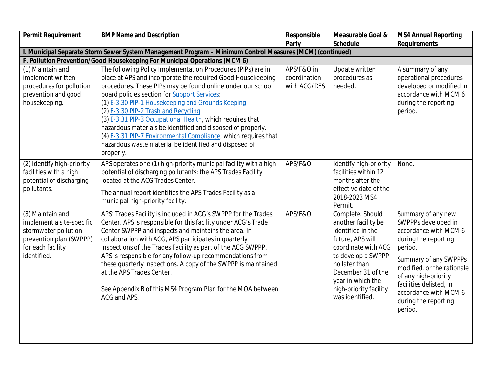| Permit Requirement                                                                                                                   | <b>BMP Name and Description</b>                                                                                                                                                                                                                                                                                                                                                                                                                                                                                                                                                                                      | Responsible                                | Measurable Goal &                                                                                                                                                                                                                      | <b>MS4 Annual Reporting</b>                                                                                                                                                                                                                                                 |
|--------------------------------------------------------------------------------------------------------------------------------------|----------------------------------------------------------------------------------------------------------------------------------------------------------------------------------------------------------------------------------------------------------------------------------------------------------------------------------------------------------------------------------------------------------------------------------------------------------------------------------------------------------------------------------------------------------------------------------------------------------------------|--------------------------------------------|----------------------------------------------------------------------------------------------------------------------------------------------------------------------------------------------------------------------------------------|-----------------------------------------------------------------------------------------------------------------------------------------------------------------------------------------------------------------------------------------------------------------------------|
|                                                                                                                                      |                                                                                                                                                                                                                                                                                                                                                                                                                                                                                                                                                                                                                      | Party                                      | Schedule                                                                                                                                                                                                                               | Requirements                                                                                                                                                                                                                                                                |
|                                                                                                                                      | I. Municipal Separate Storm Sewer System Management Program - Minimum Control Measures (MCM) (continued)                                                                                                                                                                                                                                                                                                                                                                                                                                                                                                             |                                            |                                                                                                                                                                                                                                        |                                                                                                                                                                                                                                                                             |
|                                                                                                                                      | F. Pollution Prevention/Good Housekeeping For Municipal Operations (MCM 6)                                                                                                                                                                                                                                                                                                                                                                                                                                                                                                                                           |                                            |                                                                                                                                                                                                                                        |                                                                                                                                                                                                                                                                             |
| (1) Maintain and<br>implement written<br>procedures for pollution<br>prevention and good<br>housekeeping.                            | The following Policy Implementation Procedures (PIPs) are in<br>place at APS and incorporate the required Good Housekeeping<br>procedures. These PIPs may be found online under our school<br>board policies section for <b>Support Services</b> :<br>(1) E-3.30 PIP-1 Housekeeping and Grounds Keeping<br>(2) E-3.30 PIP-2 Trash and Recycling<br>(3) E-3.31 PIP-3 Occupational Health, which requires that<br>hazardous materials be identified and disposed of properly.<br>(4) E-3.31 PIP-7 Environmental Compliance, which requires that<br>hazardous waste material be identified and disposed of<br>properly. | APS/F&O in<br>coordination<br>with ACG/DES | Update written<br>procedures as<br>needed.                                                                                                                                                                                             | A summary of any<br>operational procedures<br>developed or modified in<br>accordance with MCM 6<br>during the reporting<br>period.                                                                                                                                          |
| (2) Identify high-priority<br>facilities with a high<br>potential of discharging<br>pollutants.                                      | APS operates one (1) high-priority municipal facility with a high<br>potential of discharging pollutants: the APS Trades Facility<br>located at the ACG Trades Center.<br>The annual report identifies the APS Trades Facility as a<br>municipal high-priority facility.                                                                                                                                                                                                                                                                                                                                             | APS/F&O                                    | Identify high-priority<br>facilities within 12<br>months after the<br>effective date of the<br>2018-2023 MS4<br>Permit.                                                                                                                | None.                                                                                                                                                                                                                                                                       |
| (3) Maintain and<br>implement a site-specific<br>stormwater pollution<br>prevention plan (SWPPP)<br>for each facility<br>identified. | APS' Trades Facility is included in ACG's SWPPP for the Trades<br>Center. APS is responsible for this facility under ACG's Trade<br>Center SWPPP and inspects and maintains the area. In<br>collaboration with ACG, APS participates in quarterly<br>inspections of the Trades Facility as part of the ACG SWPPP.<br>APS is responsible for any follow-up recommendations from<br>these quarterly inspections. A copy of the SWPPP is maintained<br>at the APS Trades Center.<br>See Appendix B of this MS4 Program Plan for the MOA between<br>ACG and APS.                                                         | APS/F&O                                    | Complete. Should<br>another facility be<br>identified in the<br>future, APS will<br>coordinate with ACG<br>to develop a SWPPP<br>no later than<br>December 31 of the<br>year in which the<br>high-priority facility<br>was identified. | Summary of any new<br>SWPPPs developed in<br>accordance with MCM 6<br>during the reporting<br>period.<br>Summary of any SWPPPs<br>modified, or the rationale<br>of any high-priority<br>facilities delisted, in<br>accordance with MCM 6<br>during the reporting<br>period. |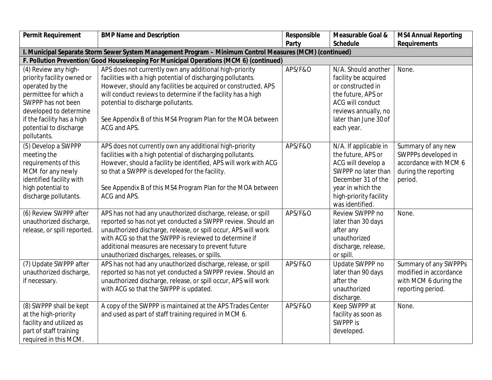| Permit Requirement          | <b>BMP Name and Description</b>                                                                          | Responsible | Measurable Goal &      | <b>MS4 Annual Reporting</b> |
|-----------------------------|----------------------------------------------------------------------------------------------------------|-------------|------------------------|-----------------------------|
|                             |                                                                                                          | Party       | Schedule               | Requirements                |
|                             | I. Municipal Separate Storm Sewer System Management Program - Minimum Control Measures (MCM) (continued) |             |                        |                             |
|                             | F. Pollution Prevention/Good Housekeeping For Municipal Operations (MCM 6) (continued)                   |             |                        |                             |
| (4) Review any high-        | APS does not currently own any additional high-priority                                                  | APS/F&O     | N/A. Should another    | None.                       |
| priority facility owned or  | facilities with a high potential of discharging pollutants.                                              |             | facility be acquired   |                             |
| operated by the             | However, should any facilities be acquired or constructed, APS                                           |             | or constructed in      |                             |
| permittee for which a       | will conduct reviews to determine if the facility has a high                                             |             | the future, APS or     |                             |
| SWPPP has not been          | potential to discharge pollutants.                                                                       |             | ACG will conduct       |                             |
| developed to determine      |                                                                                                          |             | reviews annually, no   |                             |
| if the facility has a high  | See Appendix B of this MS4 Program Plan for the MOA between                                              |             | later than June 30 of  |                             |
| potential to discharge      | ACG and APS.                                                                                             |             | each year.             |                             |
| pollutants.                 |                                                                                                          |             |                        |                             |
| (5) Develop a SWPPP         | APS does not currently own any additional high-priority                                                  | APS/F&O     | N/A. If applicable in  | Summary of any new          |
| meeting the                 | facilities with a high potential of discharging pollutants.                                              |             | the future, APS or     | SWPPPs developed in         |
| requirements of this        | However, should a facility be identified, APS will work with ACG                                         |             | ACG will develop a     | accordance with MCM 6       |
| MCM for any newly           | so that a SWPPP is developed for the facility.                                                           |             | SWPPP no later than    | during the reporting        |
| identified facility with    |                                                                                                          |             | December 31 of the     | period.                     |
| high potential to           | See Appendix B of this MS4 Program Plan for the MOA between                                              |             | year in which the      |                             |
| discharge pollutants.       | ACG and APS.                                                                                             |             | high-priority facility |                             |
|                             |                                                                                                          |             | was identified.        |                             |
| (6) Review SWPPP after      | APS has not had any unauthorized discharge, release, or spill                                            | APS/F&O     | Review SWPPP no        | None.                       |
| unauthorized discharge,     | reported so has not yet conducted a SWPPP review. Should an                                              |             | later than 30 days     |                             |
| release, or spill reported. | unauthorized discharge, release, or spill occur, APS will work                                           |             | after any              |                             |
|                             | with ACG so that the SWPPP is reviewed to determine if                                                   |             | unauthorized           |                             |
|                             | additional measures are necessary to prevent future                                                      |             | discharge, release,    |                             |
|                             | unauthorized discharges, releases, or spills.                                                            |             | or spill.              |                             |
| (7) Update SWPPP after      | APS has not had any unauthorized discharge, release, or spill                                            | APS/F&O     | Update SWPPP no        | Summary of any SWPPPs       |
| unauthorized discharge,     | reported so has not yet conducted a SWPPP review. Should an                                              |             | later than 90 days     | modified in accordance      |
| if necessary.               | unauthorized discharge, release, or spill occur, APS will work                                           |             | after the              | with MCM 6 during the       |
|                             | with ACG so that the SWPPP is updated.                                                                   |             | unauthorized           | reporting period.           |
|                             |                                                                                                          |             | discharge.             |                             |
| (8) SWPPP shall be kept     | A copy of the SWPPP is maintained at the APS Trades Center                                               | APS/F&O     | Keep SWPPP at          | None.                       |
| at the high-priority        | and used as part of staff training required in MCM 6.                                                    |             | facility as soon as    |                             |
| facility and utilized as    |                                                                                                          |             | SWPPP is               |                             |
| part of staff training      |                                                                                                          |             | developed.             |                             |
| required in this MCM.       |                                                                                                          |             |                        |                             |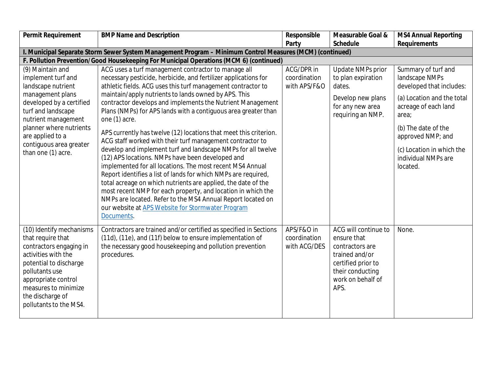| Permit Requirement                                                                                                                                                                                                                                        | <b>BMP Name and Description</b>                                                                                                                                                                                                                                                                                                                                                                                                                                                                                                                                                                                                                                                                                                                                                                                                                                                                                                                                                                                                                         | Responsible                                | Measurable Goal &                                                                                                                               | <b>MS4 Annual Reporting</b>                                                                                                                                                                                                                  |
|-----------------------------------------------------------------------------------------------------------------------------------------------------------------------------------------------------------------------------------------------------------|---------------------------------------------------------------------------------------------------------------------------------------------------------------------------------------------------------------------------------------------------------------------------------------------------------------------------------------------------------------------------------------------------------------------------------------------------------------------------------------------------------------------------------------------------------------------------------------------------------------------------------------------------------------------------------------------------------------------------------------------------------------------------------------------------------------------------------------------------------------------------------------------------------------------------------------------------------------------------------------------------------------------------------------------------------|--------------------------------------------|-------------------------------------------------------------------------------------------------------------------------------------------------|----------------------------------------------------------------------------------------------------------------------------------------------------------------------------------------------------------------------------------------------|
|                                                                                                                                                                                                                                                           |                                                                                                                                                                                                                                                                                                                                                                                                                                                                                                                                                                                                                                                                                                                                                                                                                                                                                                                                                                                                                                                         | Party                                      | Schedule                                                                                                                                        | Requirements                                                                                                                                                                                                                                 |
|                                                                                                                                                                                                                                                           | I. Municipal Separate Storm Sewer System Management Program - Minimum Control Measures (MCM) (continued)                                                                                                                                                                                                                                                                                                                                                                                                                                                                                                                                                                                                                                                                                                                                                                                                                                                                                                                                                |                                            |                                                                                                                                                 |                                                                                                                                                                                                                                              |
|                                                                                                                                                                                                                                                           | F. Pollution Prevention/Good Housekeeping For Municipal Operations (MCM 6) (continued)                                                                                                                                                                                                                                                                                                                                                                                                                                                                                                                                                                                                                                                                                                                                                                                                                                                                                                                                                                  |                                            |                                                                                                                                                 |                                                                                                                                                                                                                                              |
| (9) Maintain and<br>implement turf and<br>landscape nutrient<br>management plans<br>developed by a certified<br>turf and landscape<br>nutrient management<br>planner where nutrients<br>are applied to a<br>contiguous area greater<br>than one (1) acre. | ACG uses a turf management contractor to manage all<br>necessary pesticide, herbicide, and fertilizer applications for<br>athletic fields. ACG uses this turf management contractor to<br>maintain/apply nutrients to lands owned by APS. This<br>contractor develops and implements the Nutrient Management<br>Plans (NMPs) for APS lands with a contiguous area greater than<br>one (1) acre.<br>APS currently has twelve (12) locations that meet this criterion.<br>ACG staff worked with their turf management contractor to<br>develop and implement turf and landscape NMPs for all twelve<br>(12) APS locations. NMPs have been developed and<br>implemented for all locations. The most recent MS4 Annual<br>Report identifies a list of lands for which NMPs are required,<br>total acreage on which nutrients are applied, the date of the<br>most recent NMP for each property, and location in which the<br>NMPs are located. Refer to the MS4 Annual Report located on<br>our website at APS Website for Stormwater Program<br>Documents. | ACG/DPR in<br>coordination<br>with APS/F&O | <b>Update NMPs prior</b><br>to plan expiration<br>dates.<br>Develop new plans<br>for any new area<br>requiring an NMP.                          | Summary of turf and<br>landscape NMPs<br>developed that includes:<br>(a) Location and the total<br>acreage of each land<br>area;<br>(b) The date of the<br>approved NMP; and<br>(c) Location in which the<br>individual NMPs are<br>located. |
| (10) Identify mechanisms<br>that require that<br>contractors engaging in<br>activities with the<br>potential to discharge<br>pollutants use<br>appropriate control<br>measures to minimize<br>the discharge of<br>pollutants to the MS4.                  | Contractors are trained and/or certified as specified in Sections<br>(11d), (11e), and (11f) below to ensure implementation of<br>the necessary good housekeeping and pollution prevention<br>procedures.                                                                                                                                                                                                                                                                                                                                                                                                                                                                                                                                                                                                                                                                                                                                                                                                                                               | APS/F&O in<br>coordination<br>with ACG/DES | ACG will continue to<br>ensure that<br>contractors are<br>trained and/or<br>certified prior to<br>their conducting<br>work on behalf of<br>APS. | None.                                                                                                                                                                                                                                        |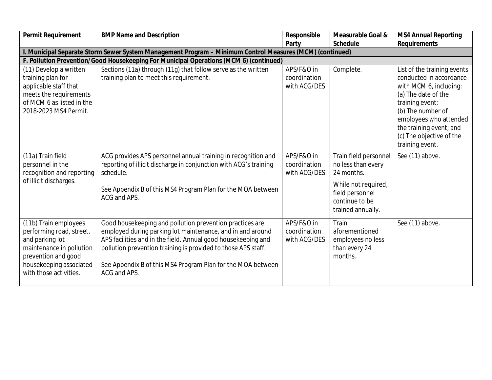| Permit Requirement                                                                                                                                                           | <b>BMP Name and Description</b>                                                                                                                                                                                                                                                                                                         | Responsible                                | Measurable Goal &<br>Schedule                                                                                                              | <b>MS4 Annual Reporting</b><br>Requirements                                                                                                                                                                                                         |
|------------------------------------------------------------------------------------------------------------------------------------------------------------------------------|-----------------------------------------------------------------------------------------------------------------------------------------------------------------------------------------------------------------------------------------------------------------------------------------------------------------------------------------|--------------------------------------------|--------------------------------------------------------------------------------------------------------------------------------------------|-----------------------------------------------------------------------------------------------------------------------------------------------------------------------------------------------------------------------------------------------------|
|                                                                                                                                                                              | I. Municipal Separate Storm Sewer System Management Program - Minimum Control Measures (MCM) (continued)                                                                                                                                                                                                                                | Party                                      |                                                                                                                                            |                                                                                                                                                                                                                                                     |
|                                                                                                                                                                              | F. Pollution Prevention/Good Housekeeping For Municipal Operations (MCM 6) (continued)                                                                                                                                                                                                                                                  |                                            |                                                                                                                                            |                                                                                                                                                                                                                                                     |
| (11) Develop a written<br>training plan for<br>applicable staff that<br>meets the requirements<br>of MCM 6 as listed in the<br>2018-2023 MS4 Permit.                         | Sections (11a) through (11g) that follow serve as the written<br>training plan to meet this requirement.                                                                                                                                                                                                                                | APS/F&O in<br>coordination<br>with ACG/DES | Complete.                                                                                                                                  | List of the training events<br>conducted in accordance<br>with MCM 6, including:<br>(a) The date of the<br>training event;<br>(b) The number of<br>employees who attended<br>the training event; and<br>(c) The objective of the<br>training event. |
| (11a) Train field<br>personnel in the<br>recognition and reporting<br>of illicit discharges.                                                                                 | ACG provides APS personnel annual training in recognition and<br>reporting of illicit discharge in conjunction with ACG's training<br>schedule.<br>See Appendix B of this MS4 Program Plan for the MOA between<br>ACG and APS.                                                                                                          | APS/F&O in<br>coordination<br>with ACG/DES | Train field personnel<br>no less than every<br>24 months.<br>While not required,<br>field personnel<br>continue to be<br>trained annually. | See (11) above.                                                                                                                                                                                                                                     |
| (11b) Train employees<br>performing road, street,<br>and parking lot<br>maintenance in pollution<br>prevention and good<br>housekeeping associated<br>with those activities. | Good housekeeping and pollution prevention practices are<br>employed during parking lot maintenance, and in and around<br>APS facilities and in the field. Annual good housekeeping and<br>pollution prevention training is provided to those APS staff.<br>See Appendix B of this MS4 Program Plan for the MOA between<br>ACG and APS. | APS/F&O in<br>coordination<br>with ACG/DES | Train<br>aforementioned<br>employees no less<br>than every 24<br>months.                                                                   | See (11) above.                                                                                                                                                                                                                                     |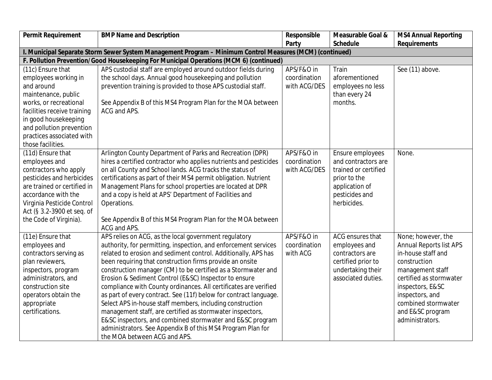| Permit Requirement          | <b>BMP Name and Description</b>                                                                          | Responsible  | Measurable Goal &    | <b>MS4 Annual Reporting</b> |  |  |
|-----------------------------|----------------------------------------------------------------------------------------------------------|--------------|----------------------|-----------------------------|--|--|
|                             |                                                                                                          | Party        | Schedule             | Requirements                |  |  |
|                             | I. Municipal Separate Storm Sewer System Management Program - Minimum Control Measures (MCM) (continued) |              |                      |                             |  |  |
|                             | F. Pollution Prevention/Good Housekeeping For Municipal Operations (MCM 6) (continued)                   |              |                      |                             |  |  |
| (11c) Ensure that           | APS custodial staff are employed around outdoor fields during                                            | APS/F&O in   | Train                | See (11) above.             |  |  |
| employees working in        | the school days. Annual good housekeeping and pollution                                                  | coordination | aforementioned       |                             |  |  |
| and around                  | prevention training is provided to those APS custodial staff.                                            | with ACG/DES | employees no less    |                             |  |  |
| maintenance, public         |                                                                                                          |              | than every 24        |                             |  |  |
| works, or recreational      | See Appendix B of this MS4 Program Plan for the MOA between                                              |              | months.              |                             |  |  |
| facilities receive training | ACG and APS.                                                                                             |              |                      |                             |  |  |
| in good housekeeping        |                                                                                                          |              |                      |                             |  |  |
| and pollution prevention    |                                                                                                          |              |                      |                             |  |  |
| practices associated with   |                                                                                                          |              |                      |                             |  |  |
| those facilities.           |                                                                                                          |              |                      |                             |  |  |
| (11d) Ensure that           | Arlington County Department of Parks and Recreation (DPR)                                                | APS/F&O in   | Ensure employees     | None.                       |  |  |
| employees and               | hires a certified contractor who applies nutrients and pesticides                                        | coordination | and contractors are  |                             |  |  |
| contractors who apply       | on all County and School lands. ACG tracks the status of                                                 | with ACG/DES | trained or certified |                             |  |  |
| pesticides and herbicides   | certifications as part of their MS4 permit obligation. Nutrient                                          |              | prior to the         |                             |  |  |
| are trained or certified in | Management Plans for school properties are located at DPR                                                |              | application of       |                             |  |  |
| accordance with the         | and a copy is held at APS' Department of Facilities and                                                  |              | pesticides and       |                             |  |  |
| Virginia Pesticide Control  | Operations.                                                                                              |              | herbicides.          |                             |  |  |
| Act (§ 3.2-3900 et seq. of  |                                                                                                          |              |                      |                             |  |  |
| the Code of Virginia).      | See Appendix B of this MS4 Program Plan for the MOA between<br>ACG and APS.                              |              |                      |                             |  |  |
| (11e) Ensure that           | APS relies on ACG, as the local government regulatory                                                    | APS/F&O in   | ACG ensures that     | None; however, the          |  |  |
| employees and               | authority, for permitting, inspection, and enforcement services                                          | coordination | employees and        | Annual Reports list APS     |  |  |
| contractors serving as      | related to erosion and sediment control. Additionally, APS has                                           | with ACG     | contractors are      | in-house staff and          |  |  |
| plan reviewers,             | been requiring that construction firms provide an onsite                                                 |              | certified prior to   | construction                |  |  |
| inspectors, program         | construction manager (CM) to be certified as a Stormwater and                                            |              | undertaking their    | management staff            |  |  |
| administrators, and         | Erosion & Sediment Control (E&SC) Inspector to ensure                                                    |              | associated duties.   | certified as stormwater     |  |  |
| construction site           | compliance with County ordinances. All certificates are verified                                         |              |                      | inspectors, E&SC            |  |  |
| operators obtain the        | as part of every contract. See (11f) below for contract language.                                        |              |                      | inspectors, and             |  |  |
| appropriate                 | Select APS in-house staff members, including construction                                                |              |                      | combined stormwater         |  |  |
| certifications.             | management staff, are certified as stormwater inspectors,                                                |              |                      | and E&SC program            |  |  |
|                             | E&SC inspectors, and combined stormwater and E&SC program                                                |              |                      | administrators.             |  |  |
|                             | administrators. See Appendix B of this MS4 Program Plan for                                              |              |                      |                             |  |  |
|                             | the MOA between ACG and APS.                                                                             |              |                      |                             |  |  |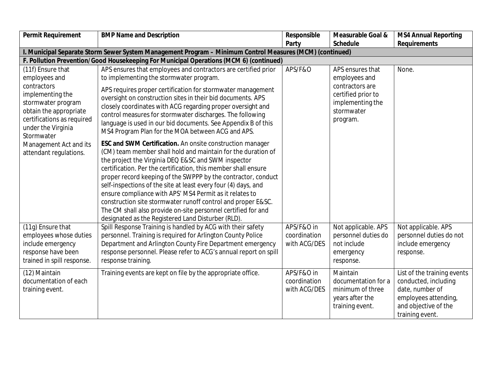| Permit Requirement                                                                                                                                                                      | <b>BMP Name and Description</b>                                                                                                                                                                                                                                                                                                                                                                                                                                                                                                                                                                                                         | Responsible                                | Measurable Goal &                                                                                                        | <b>MS4 Annual Reporting</b>                                                                                                               |
|-----------------------------------------------------------------------------------------------------------------------------------------------------------------------------------------|-----------------------------------------------------------------------------------------------------------------------------------------------------------------------------------------------------------------------------------------------------------------------------------------------------------------------------------------------------------------------------------------------------------------------------------------------------------------------------------------------------------------------------------------------------------------------------------------------------------------------------------------|--------------------------------------------|--------------------------------------------------------------------------------------------------------------------------|-------------------------------------------------------------------------------------------------------------------------------------------|
|                                                                                                                                                                                         |                                                                                                                                                                                                                                                                                                                                                                                                                                                                                                                                                                                                                                         | Party                                      | Schedule                                                                                                                 | Requirements                                                                                                                              |
|                                                                                                                                                                                         | I. Municipal Separate Storm Sewer System Management Program - Minimum Control Measures (MCM) (continued)                                                                                                                                                                                                                                                                                                                                                                                                                                                                                                                                |                                            |                                                                                                                          |                                                                                                                                           |
|                                                                                                                                                                                         | F. Pollution Prevention/Good Housekeeping For Municipal Operations (MCM 6) (continued)                                                                                                                                                                                                                                                                                                                                                                                                                                                                                                                                                  |                                            |                                                                                                                          |                                                                                                                                           |
| (11f) Ensure that<br>employees and<br>contractors<br>implementing the<br>stormwater program<br>obtain the appropriate<br>certifications as required<br>under the Virginia<br>Stormwater | APS ensures that employees and contractors are certified prior<br>to implementing the stormwater program.<br>APS requires proper certification for stormwater management<br>oversight on construction sites in their bid documents. APS<br>closely coordinates with ACG regarding proper oversight and<br>control measures for stormwater discharges. The following<br>language is used in our bid documents. See Appendix B of this<br>MS4 Program Plan for the MOA between ACG and APS.                                                                                                                                               | APS/F&O                                    | APS ensures that<br>employees and<br>contractors are<br>certified prior to<br>implementing the<br>stormwater<br>program. | None.                                                                                                                                     |
| Management Act and its<br>attendant regulations.                                                                                                                                        | ESC and SWM Certification. An onsite construction manager<br>(CM) team member shall hold and maintain for the duration of<br>the project the Virginia DEQ E&SC and SWM inspector<br>certification. Per the certification, this member shall ensure<br>proper record keeping of the SWPPP by the contractor, conduct<br>self-inspections of the site at least every four (4) days, and<br>ensure compliance with APS' MS4 Permit as it relates to<br>construction site stormwater runoff control and proper E&SC.<br>The CM shall also provide on-site personnel certified for and<br>designated as the Registered Land Disturber (RLD). |                                            |                                                                                                                          |                                                                                                                                           |
| (11g) Ensure that<br>employees whose duties<br>include emergency<br>response have been<br>trained in spill response.                                                                    | Spill Response Training is handled by ACG with their safety<br>personnel. Training is required for Arlington County Police<br>Department and Arlington County Fire Department emergency<br>response personnel. Please refer to ACG's annual report on spill<br>response training.                                                                                                                                                                                                                                                                                                                                                       | APS/F&O in<br>coordination<br>with ACG/DES | Not applicable. APS<br>personnel duties do<br>not include<br>emergency<br>response.                                      | Not applicable. APS<br>personnel duties do not<br>include emergency<br>response.                                                          |
| (12) Maintain<br>documentation of each<br>training event.                                                                                                                               | Training events are kept on file by the appropriate office.                                                                                                                                                                                                                                                                                                                                                                                                                                                                                                                                                                             | APS/F&O in<br>coordination<br>with ACG/DES | Maintain<br>documentation for a<br>minimum of three<br>years after the<br>training event.                                | List of the training events<br>conducted, including<br>date, number of<br>employees attending,<br>and objective of the<br>training event. |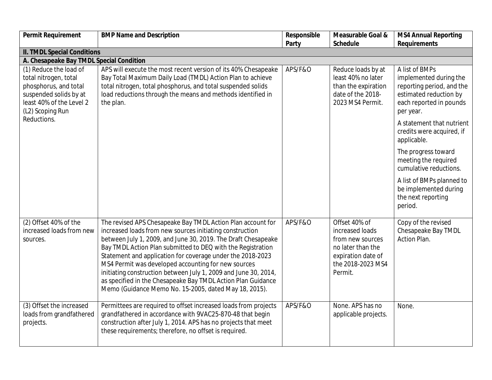| Permit Requirement                                                                                                                                 | <b>BMP Name and Description</b>                                                                                                                                                                                                                                                                                                                                                                                                                                                                                                                                          | Responsible | Measurable Goal &                                                                                                               | <b>MS4 Annual Reporting</b>                                                                                                             |
|----------------------------------------------------------------------------------------------------------------------------------------------------|--------------------------------------------------------------------------------------------------------------------------------------------------------------------------------------------------------------------------------------------------------------------------------------------------------------------------------------------------------------------------------------------------------------------------------------------------------------------------------------------------------------------------------------------------------------------------|-------------|---------------------------------------------------------------------------------------------------------------------------------|-----------------------------------------------------------------------------------------------------------------------------------------|
|                                                                                                                                                    |                                                                                                                                                                                                                                                                                                                                                                                                                                                                                                                                                                          | Party       | Schedule                                                                                                                        | Requirements                                                                                                                            |
| II. TMDL Special Conditions                                                                                                                        |                                                                                                                                                                                                                                                                                                                                                                                                                                                                                                                                                                          |             |                                                                                                                                 |                                                                                                                                         |
| A. Chesapeake Bay TMDL Special Condition                                                                                                           |                                                                                                                                                                                                                                                                                                                                                                                                                                                                                                                                                                          |             |                                                                                                                                 |                                                                                                                                         |
| (1) Reduce the load of<br>total nitrogen, total<br>phosphorus, and total<br>suspended solids by at<br>least 40% of the Level 2<br>(L2) Scoping Run | APS will execute the most recent version of its 40% Chesapeake<br>Bay Total Maximum Daily Load (TMDL) Action Plan to achieve<br>total nitrogen, total phosphorus, and total suspended solids<br>load reductions through the means and methods identified in<br>the plan.                                                                                                                                                                                                                                                                                                 | APS/F&O     | Reduce loads by at<br>least 40% no later<br>than the expiration<br>date of the 2018-<br>2023 MS4 Permit.                        | A list of BMPs<br>implemented during the<br>reporting period, and the<br>estimated reduction by<br>each reported in pounds<br>per year. |
| Reductions.                                                                                                                                        |                                                                                                                                                                                                                                                                                                                                                                                                                                                                                                                                                                          |             |                                                                                                                                 | A statement that nutrient<br>credits were acquired, if<br>applicable.                                                                   |
|                                                                                                                                                    |                                                                                                                                                                                                                                                                                                                                                                                                                                                                                                                                                                          |             |                                                                                                                                 | The progress toward<br>meeting the required<br>cumulative reductions.                                                                   |
|                                                                                                                                                    |                                                                                                                                                                                                                                                                                                                                                                                                                                                                                                                                                                          |             |                                                                                                                                 | A list of BMPs planned to<br>be implemented during<br>the next reporting<br>period.                                                     |
| (2) Offset 40% of the<br>increased loads from new<br>sources.                                                                                      | The revised APS Chesapeake Bay TMDL Action Plan account for<br>increased loads from new sources initiating construction<br>between July 1, 2009, and June 30, 2019. The Draft Chesapeake<br>Bay TMDL Action Plan submitted to DEQ with the Registration<br>Statement and application for coverage under the 2018-2023<br>MS4 Permit was developed accounting for new sources<br>initiating construction between July 1, 2009 and June 30, 2014,<br>as specified in the Chesapeake Bay TMDL Action Plan Guidance<br>Memo (Guidance Memo No. 15-2005, dated May 18, 2015). | APS/F&O     | Offset 40% of<br>increased loads<br>from new sources<br>no later than the<br>expiration date of<br>the 2018-2023 MS4<br>Permit. | Copy of the revised<br>Chesapeake Bay TMDL<br>Action Plan.                                                                              |
| (3) Offset the increased<br>loads from grandfathered<br>projects.                                                                                  | Permittees are required to offset increased loads from projects<br>grandfathered in accordance with 9VAC25-870-48 that begin<br>construction after July 1, 2014. APS has no projects that meet<br>these requirements; therefore, no offset is required.                                                                                                                                                                                                                                                                                                                  | APS/F&O     | None. APS has no<br>applicable projects.                                                                                        | None.                                                                                                                                   |